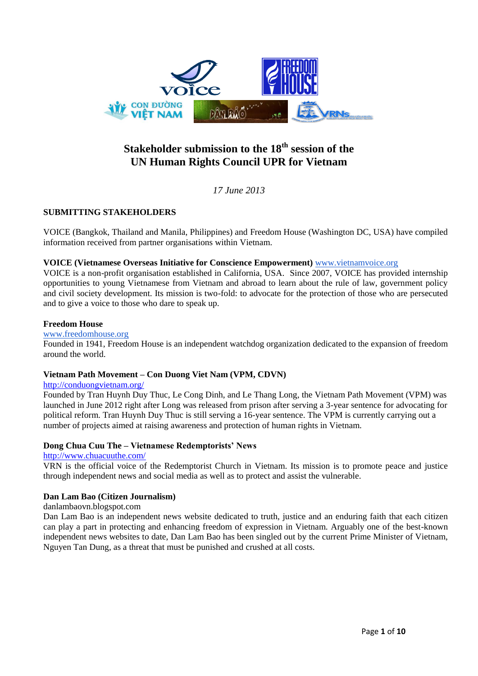

# **Stakeholder submission to the 18th session of the UN Human Rights Council UPR for Vietnam**

*17 June 2013*

# **SUBMITTING STAKEHOLDERS**

VOICE (Bangkok, Thailand and Manila, Philippines) and Freedom House (Washington DC, USA) have compiled information received from partner organisations within Vietnam.

## **VOICE (Vietnamese Overseas Initiative for Conscience Empowerment)** [www.vietnamvoice.org](http://www.vietnamvoice.org/)

VOICE is a non-profit organisation established in California, USA. Since 2007, VOICE has provided internship opportunities to young Vietnamese from Vietnam and abroad to learn about the rule of law, government policy and civil society development. Its mission is two-fold: to advocate for the protection of those who are persecuted and to give a voice to those who dare to speak up.

## **Freedom House**

#### [www.freedomhouse.org](http://www.freedomhouse.org/)

Founded in 1941, Freedom House is an independent watchdog organization dedicated to the expansion of freedom around the world.

## **Vietnam Path Movement – Con Duong Viet Nam (VPM, CDVN)**

#### <http://conduongvietnam.org/>

Founded by Tran Huynh Duy Thuc, Le Cong Dinh, and Le Thang Long, the Vietnam Path Movement (VPM) was launched in June 2012 right after Long was released from prison after serving a 3-year sentence for advocating for political reform. Tran Huynh Duy Thuc is still serving a 16-year sentence. The VPM is currently carrying out a number of projects aimed at raising awareness and protection of human rights in Vietnam.

## **Dong Chua Cuu The – Vietnamese Redemptorists' News**

## [http://www.chuacuuthe.com/](http://www.vrnews.org/)

VRN is the official voice of the Redemptorist Church in Vietnam. Its mission is to promote peace and justice through independent news and social media as well as to protect and assist the vulnerable.

## **Dan Lam Bao (Citizen Journalism)**

## danlambaovn.blogspot.com

Dan Lam Bao is an independent news website dedicated to truth, justice and an enduring faith that each citizen can play a part in protecting and enhancing freedom of expression in Vietnam. Arguably one of the best-known independent news websites to date, Dan Lam Bao has been singled out by the current Prime Minister of Vietnam, Nguyen Tan Dung, as a threat that must be punished and crushed at all costs.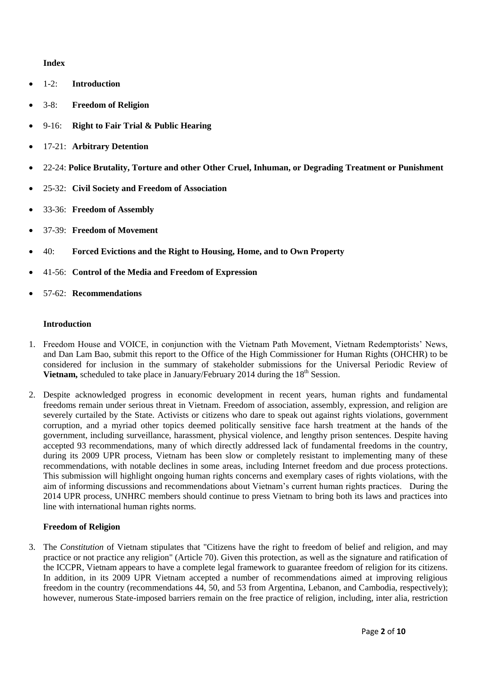## **Index**

- 1-2: **Introduction**
- 3-8: **Freedom of Religion**
- 9-16: **Right to Fair Trial & Public Hearing**
- 17-21: **Arbitrary Detention**
- 22-24: **Police Brutality, Torture and other Other Cruel, Inhuman, or Degrading Treatment or Punishment**
- 25-32: **Civil Society and Freedom of Association**
- 33-36: **Freedom of Assembly**
- 37-39: **Freedom of Movement**
- 40: **Forced Evictions and the Right to Housing, Home, and to Own Property**
- 41-56: **Control of the Media and Freedom of Expression**
- 57-62: **Recommendations**

#### **Introduction**

- 1. Freedom House and VOICE, in conjunction with the Vietnam Path Movement, Vietnam Redemptorists' News, and Dan Lam Bao, submit this report to the Office of the High Commissioner for Human Rights (OHCHR) to be considered for inclusion in the summary of stakeholder submissions for the Universal Periodic Review of **Vietnam,** scheduled to take place in January/February 2014 during the 18<sup>th</sup> Session.
- 2. Despite acknowledged progress in economic development in recent years, human rights and fundamental freedoms remain under serious threat in Vietnam. Freedom of association, assembly, expression, and religion are severely curtailed by the State. Activists or citizens who dare to speak out against rights violations, government corruption, and a myriad other topics deemed politically sensitive face harsh treatment at the hands of the government, including surveillance, harassment, physical violence, and lengthy prison sentences. Despite having accepted 93 recommendations, many of which directly addressed lack of fundamental freedoms in the country, during its 2009 UPR process, Vietnam has been slow or completely resistant to implementing many of these recommendations, with notable declines in some areas, including Internet freedom and due process protections. This submission will highlight ongoing human rights concerns and exemplary cases of rights violations, with the aim of informing discussions and recommendations about Vietnam's current human rights practices. During the 2014 UPR process, UNHRC members should continue to press Vietnam to bring both its laws and practices into line with international human rights norms.

## **Freedom of Religion**

3. The *Constitution* of Vietnam stipulates that "Citizens have the right to freedom of belief and religion, and may practice or not practice any religion" (Article 70). Given this protection, as well as the signature and ratification of the ICCPR, Vietnam appears to have a complete legal framework to guarantee freedom of religion for its citizens. In addition, in its 2009 UPR Vietnam accepted a number of recommendations aimed at improving religious freedom in the country (recommendations 44, 50, and 53 from Argentina, Lebanon, and Cambodia, respectively); however, numerous State-imposed barriers remain on the free practice of religion, including, inter alia, restriction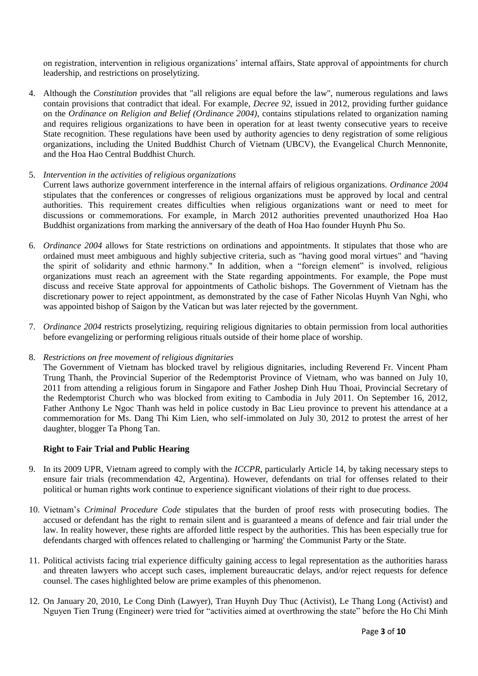on registration, intervention in religious organizations' internal affairs, State approval of appointments for church leadership, and restrictions on proselytizing.

4. Although the *Constitution* provides that "all religions are equal before the law", numerous regulations and laws contain provisions that contradict that ideal. For example, *Decree 92*, issued in 2012, providing further guidance on the *Ordinance on Religion and Belief (Ordinance 2004)*, contains stipulations related to organization naming and requires religious organizations to have been in operation for at least twenty consecutive years to receive State recognition. These regulations have been used by authority agencies to deny registration of some religious organizations, including the United Buddhist Church of Vietnam (UBCV), the Evangelical Church Mennonite, and the Hoa Hao Central Buddhist Church.

## 5. *Intervention in the activities of religious organizations*

Current laws authorize government interference in the internal affairs of religious organizations. *Ordinance 2004* stipulates that the conferences or congresses of religious organizations must be approved by local and central authorities. This requirement creates difficulties when religious organizations want or need to meet for discussions or commemorations. For example, in March 2012 authorities prevented unauthorized Hoa Hao Buddhist organizations from marking the anniversary of the death of Hoa Hao founder Huynh Phu So.

- 6. *Ordinance 2004* allows for State restrictions on ordinations and appointments. It stipulates that those who are ordained must meet ambiguous and highly subjective criteria, such as "having good moral virtues" and "having the spirit of solidarity and ethnic harmony." In addition, when a "foreign element" is involved, religious organizations must reach an agreement with the State regarding appointments. For example, the Pope must discuss and receive State approval for appointments of Catholic bishops. The Government of Vietnam has the discretionary power to reject appointment, as demonstrated by the case of Father Nicolas Huynh Van Nghi, who was appointed bishop of Saigon by the Vatican but was later rejected by the government.
- 7. *Ordinance 2004* restricts proselytizing, requiring religious dignitaries to obtain permission from local authorities before evangelizing or performing religious rituals outside of their home place of worship.

#### 8. *Restrictions on free movement of religious dignitaries*

The Government of Vietnam has blocked travel by religious dignitaries, including Reverend Fr. Vincent Pham Trung Thanh, the Provincial Superior of the Redemptorist Province of Vietnam, who was banned on July 10, 2011 from attending a religious forum in Singapore and Father Joshep Dinh Huu Thoai, Provincial Secretary of the Redemptorist Church who was blocked from exiting to Cambodia in July 2011. On September 16, 2012, Father Anthony Le Ngoc Thanh was held in police custody in Bac Lieu province to prevent his attendance at a commemoration for Ms. Dang Thi Kim Lien, who self-immolated on July 30, 2012 to protest the arrest of her daughter, blogger Ta Phong Tan.

## **Right to Fair Trial and Public Hearing**

- 9. In its 2009 UPR, Vietnam agreed to comply with the *ICCPR*, particularly Article 14, by taking necessary steps to ensure fair trials (recommendation 42, Argentina). However, defendants on trial for offenses related to their political or human rights work continue to experience significant violations of their right to due process.
- 10. Vietnam's *Criminal Procedure Code* stipulates that the burden of proof rests with prosecuting bodies. The accused or defendant has the right to remain silent and is guaranteed a means of defence and fair trial under the law. In reality however, these rights are afforded little respect by the authorities. This has been especially true for defendants charged with offences related to challenging or 'harming' the Communist Party or the State.
- 11. Political activists facing trial experience difficulty gaining access to legal representation as the authorities harass and threaten lawyers who accept such cases, implement bureaucratic delays, and/or reject requests for defence counsel. The cases highlighted below are prime examples of this phenomenon.
- 12. On January 20, 2010, Le Cong Dinh (Lawyer), Tran Huynh Duy Thuc (Activist), Le Thang Long (Activist) and Nguyen Tien Trung (Engineer) were tried for "activities aimed at overthrowing the state" before the Ho Chi Minh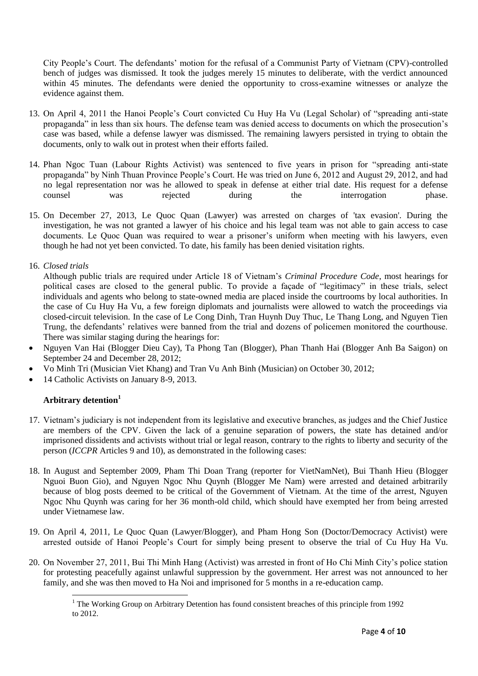City People's Court. The defendants' motion for the refusal of a Communist Party of Vietnam (CPV)-controlled bench of judges was dismissed. It took the judges merely 15 minutes to deliberate, with the verdict announced within 45 minutes. The defendants were denied the opportunity to cross-examine witnesses or analyze the evidence against them.

- 13. On April 4, 2011 the Hanoi People's Court convicted Cu Huy Ha Vu (Legal Scholar) of "spreading anti-state propaganda" in less than six hours. The defense team was denied access to documents on which the prosecution's case was based, while a defense lawyer was dismissed. The remaining lawyers persisted in trying to obtain the documents, only to walk out in protest when their efforts failed.
- 14. Phan Ngoc Tuan (Labour Rights Activist) was sentenced to five years in prison for "spreading anti-state propaganda" by Ninh Thuan Province People's Court. He was tried on June 6, 2012 and August 29, 2012, and had no legal representation nor was he allowed to speak in defense at either trial date. His request for a defense counsel was rejected during the interrogation phase.
- 15. On December 27, 2013, Le Quoc Quan (Lawyer) was arrested on charges of 'tax evasion'. During the investigation, he was not granted a lawyer of his choice and his legal team was not able to gain access to case documents. Le Quoc Quan was required to wear a prisoner's uniform when meeting with his lawyers, even though he had not yet been convicted. To date, his family has been denied visitation rights.

## 16. *Closed trials*

Although public trials are required under Article 18 of Vietnam's *Criminal Procedure Code*, most hearings for political cases are closed to the general public. To provide a façade of "legitimacy" in these trials, select individuals and agents who belong to state-owned media are placed inside the courtrooms by local authorities. In the case of Cu Huy Ha Vu, a few foreign diplomats and journalists were allowed to watch the proceedings via closed-circuit television. In the case of Le Cong Dinh, Tran Huynh Duy Thuc, Le Thang Long, and Nguyen Tien Trung, the defendants' relatives were banned from the trial and dozens of policemen monitored the courthouse. There was similar staging during the hearings for:

- Nguyen Van Hai (Blogger Dieu Cay), Ta Phong Tan (Blogger), Phan Thanh Hai (Blogger Anh Ba Saigon) on September 24 and December 28, 2012;
- Vo Minh Tri (Musician Viet Khang) and Tran Vu Anh Binh (Musician) on October 30, 2012;
- 14 Catholic Activists on January 8-9, 2013.

# **Arbitrary detention<sup>1</sup>**

1

- 17. Vietnam's judiciary is not independent from its legislative and executive branches, as judges and the Chief Justice are members of the CPV. Given the lack of a genuine separation of powers, the state has detained and/or imprisoned dissidents and activists without trial or legal reason, contrary to the rights to liberty and security of the person (*ICCPR* Articles 9 and 10), as demonstrated in the following cases:
- 18. In August and September 2009, Pham Thi Doan Trang (reporter for VietNamNet), Bui Thanh Hieu (Blogger Nguoi Buon Gio), and Nguyen Ngoc Nhu Quynh (Blogger Me Nam) were arrested and detained arbitrarily because of blog posts deemed to be critical of the Government of Vietnam. At the time of the arrest, Nguyen Ngoc Nhu Quynh was caring for her 36 month-old child, which should have exempted her from being arrested under Vietnamese law.
- 19. On April 4, 2011, Le Quoc Quan (Lawyer/Blogger), and Pham Hong Son (Doctor/Democracy Activist) were arrested outside of Hanoi People's Court for simply being present to observe the trial of Cu Huy Ha Vu.
- 20. On November 27, 2011, Bui Thi Minh Hang (Activist) was arrested in front of Ho Chi Minh City's police station for protesting peacefully against unlawful suppression by the government. Her arrest was not announced to her family, and she was then moved to Ha Noi and imprisoned for 5 months in a re-education camp.

<sup>&</sup>lt;sup>1</sup> The Working Group on Arbitrary Detention has found consistent breaches of this principle from 1992 to 2012.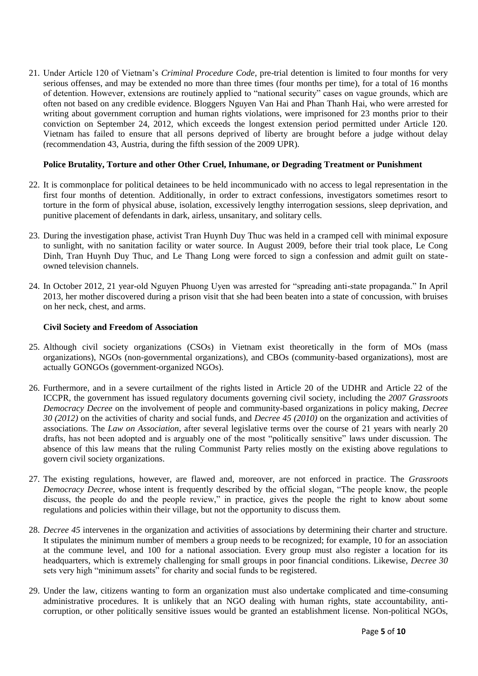21. Under Article 120 of Vietnam's *Criminal Procedure Code*, pre-trial detention is limited to four months for very serious offenses, and may be extended no more than three times (four months per time), for a total of 16 months of detention. However, extensions are routinely applied to "national security" cases on vague grounds, which are often not based on any credible evidence. Bloggers Nguyen Van Hai and Phan Thanh Hai, who were arrested for writing about government corruption and human rights violations, were imprisoned for 23 months prior to their conviction on September 24, 2012, which exceeds the longest extension period permitted under Article 120. Vietnam has failed to ensure that all persons deprived of liberty are brought before a judge without delay (recommendation 43, Austria, during the fifth session of the 2009 UPR).

## **Police Brutality, Torture and other Other Cruel, Inhumane, or Degrading Treatment or Punishment**

- 22. It is commonplace for political detainees to be held incommunicado with no access to legal representation in the first four months of detention. Additionally, in order to extract confessions, investigators sometimes resort to torture in the form of physical abuse, isolation, excessively lengthy interrogation sessions, sleep deprivation, and punitive placement of defendants in dark, airless, unsanitary, and solitary cells.
- 23. During the investigation phase, activist Tran Huynh Duy Thuc was held in a cramped cell with minimal exposure to sunlight, with no sanitation facility or water source. In August 2009, before their trial took place, Le Cong Dinh, Tran Huynh Duy Thuc, and Le Thang Long were forced to sign a confession and admit guilt on stateowned television channels.
- 24. In October 2012, 21 year-old Nguyen Phuong Uyen was arrested for "spreading anti-state propaganda." In April 2013, her mother discovered during a prison visit that she had been beaten into a state of concussion, with bruises on her neck, chest, and arms.

## **Civil Society and Freedom of Association**

- 25. Although civil society organizations (CSOs) in Vietnam exist theoretically in the form of MOs (mass organizations), NGOs (non-governmental organizations), and CBOs (community-based organizations), most are actually GONGOs (government-organized NGOs).
- 26. Furthermore, and in a severe curtailment of the rights listed in Article 20 of the UDHR and Article 22 of the ICCPR, the government has issued regulatory documents governing civil society, including the *2007 Grassroots Democracy Decree* on the involvement of people and community-based organizations in policy making, *Decree 30 (2012)* on the activities of charity and social funds, and *Decree 45 (2010)* on the organization and activities of associations. The *Law on Association*, after several legislative terms over the course of 21 years with nearly 20 drafts, has not been adopted and is arguably one of the most "politically sensitive" laws under discussion. The absence of this law means that the ruling Communist Party relies mostly on the existing above regulations to govern civil society organizations.
- 27. The existing regulations, however, are flawed and, moreover, are not enforced in practice. The *Grassroots Democracy Decree*, whose intent is frequently described by the official slogan, "The people know, the people discuss, the people do and the people review," in practice, gives the people the right to know about some regulations and policies within their village, but not the opportunity to discuss them.
- 28. *Decree 45* intervenes in the organization and activities of associations by determining their charter and structure. It stipulates the minimum number of members a group needs to be recognized; for example, 10 for an association at the commune level, and 100 for a national association. Every group must also register a location for its headquarters, which is extremely challenging for small groups in poor financial conditions. Likewise, *Decree 30* sets very high "minimum assets" for charity and social funds to be registered.
- 29. Under the law, citizens wanting to form an organization must also undertake complicated and time-consuming administrative procedures. It is unlikely that an NGO dealing with human rights, state accountability, anticorruption, or other politically sensitive issues would be granted an establishment license. Non-political NGOs,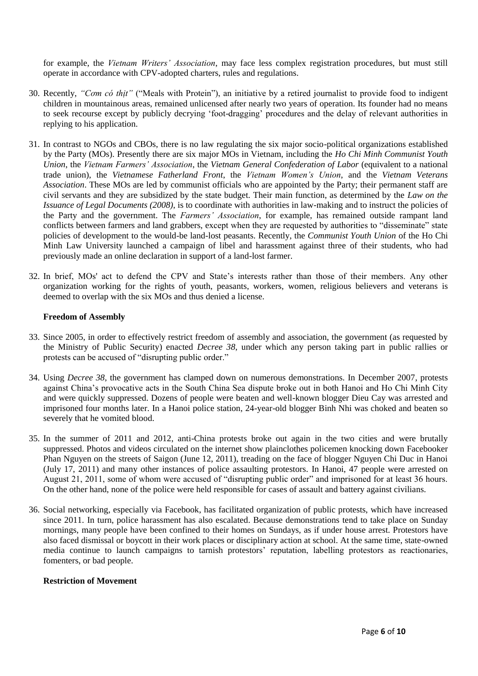for example, the *Vietnam Writers' Association*, may face less complex registration procedures, but must still operate in accordance with CPV-adopted charters, rules and regulations.

- 30. Recently, *"Cơm có thịt"* ("Meals with Protein"), an initiative by a retired journalist to provide food to indigent children in mountainous areas, remained unlicensed after nearly two years of operation. Its founder had no means to seek recourse except by publicly decrying 'foot-dragging' procedures and the delay of relevant authorities in replying to his application.
- 31. In contrast to NGOs and CBOs, there is no law regulating the six major socio-political organizations established by the Party (MOs). Presently there are six major MOs in Vietnam, including the *Ho Chi Minh Communist Youth Union*, the *Vietnam Farmers' Association*, the *Vietnam General Confederation of Labor* (equivalent to a national trade union), the *Vietnamese Fatherland Front*, the *Vietnam Women's Union*, and the *Vietnam Veterans Association*. These MOs are led by communist officials who are appointed by the Party; their permanent staff are civil servants and they are subsidized by the state budget. Their main function, as determined by the *Law on the Issuance of Legal Documents (2008)*, is to coordinate with authorities in law-making and to instruct the policies of the Party and the government. The *Farmers' Association*, for example, has remained outside rampant land conflicts between farmers and land grabbers, except when they are requested by authorities to "disseminate" state policies of development to the would-be land-lost peasants. Recently, the *Communist Youth Union* of the Ho Chi Minh Law University launched a campaign of libel and harassment against three of their students, who had previously made an online declaration in support of a land-lost farmer.
- 32. In brief, MOs' act to defend the CPV and State's interests rather than those of their members. Any other organization working for the rights of youth, peasants, workers, women, religious believers and veterans is deemed to overlap with the six MOs and thus denied a license.

## **Freedom of Assembly**

- 33. Since 2005, in order to effectively restrict freedom of assembly and association, the government (as requested by the Ministry of Public Security) enacted *Decree 38*, under which any person taking part in public rallies or protests can be accused of "disrupting public order."
- 34. Using *Decree 38*, the government has clamped down on numerous demonstrations. In December 2007, protests against China's provocative acts in the South China Sea dispute broke out in both Hanoi and Ho Chi Minh City and were quickly suppressed. Dozens of people were beaten and well-known blogger Dieu Cay was arrested and imprisoned four months later. In a Hanoi police station, 24-year-old blogger Binh Nhi was choked and beaten so severely that he vomited blood.
- 35. In the summer of 2011 and 2012, anti-China protests broke out again in the two cities and were brutally suppressed. Photos and videos circulated on the internet show plainclothes policemen knocking down Facebooker Phan Nguyen on the streets of Saigon (June 12, 2011), treading on the face of blogger Nguyen Chi Duc in Hanoi (July 17, 2011) and many other instances of police assaulting protestors. In Hanoi, 47 people were arrested on August 21, 2011, some of whom were accused of "disrupting public order" and imprisoned for at least 36 hours. On the other hand, none of the police were held responsible for cases of assault and battery against civilians.
- 36. Social networking, especially via Facebook, has facilitated organization of public protests, which have increased since 2011. In turn, police harassment has also escalated. Because demonstrations tend to take place on Sunday mornings, many people have been confined to their homes on Sundays, as if under house arrest. Protestors have also faced dismissal or boycott in their work places or disciplinary action at school. At the same time, state-owned media continue to launch campaigns to tarnish protestors' reputation, labelling protestors as reactionaries, fomenters, or bad people.

#### **Restriction of Movement**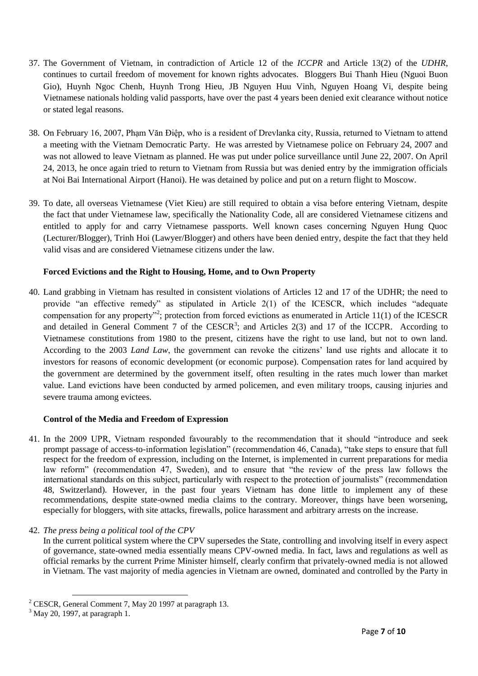- 37. The Government of Vietnam, in contradiction of Article 12 of the *ICCPR* and Article 13(2) of the *UDHR*, continues to curtail freedom of movement for known rights advocates. Bloggers Bui Thanh Hieu (Nguoi Buon Gio), Huynh Ngoc Chenh, Huynh Trong Hieu, JB Nguyen Huu Vinh, Nguyen Hoang Vi, despite being Vietnamese nationals holding valid passports, have over the past 4 years been denied exit clearance without notice or stated legal reasons.
- 38. On February 16, 2007, Phạm Văn Điệp, who is a resident of Drevlanka city, Russia, returned to Vietnam to attend a meeting with the Vietnam Democratic Party. He was arrested by Vietnamese police on February 24, 2007 and was not allowed to leave Vietnam as planned. He was put under police surveillance until June 22, 2007. On April 24, 2013, he once again tried to return to Vietnam from Russia but was denied entry by the immigration officials at Noi Bai International Airport (Hanoi). He was detained by police and put on a return flight to Moscow.
- 39. To date, all overseas Vietnamese (Viet Kieu) are still required to obtain a visa before entering Vietnam, despite the fact that under Vietnamese law, specifically the Nationality Code, all are considered Vietnamese citizens and entitled to apply for and carry Vietnamese passports. Well known cases concerning Nguyen Hung Quoc (Lecturer/Blogger), Trinh Hoi (Lawyer/Blogger) and others have been denied entry, despite the fact that they held valid visas and are considered Vietnamese citizens under the law.

# **Forced Evictions and the Right to Housing, Home, and to Own Property**

40. Land grabbing in Vietnam has resulted in consistent violations of Articles 12 and 17 of the UDHR; the need to provide "an effective remedy" as stipulated in Article 2(1) of the ICESCR, which includes "adequate compensation for any property"<sup>2</sup>; protection from forced evictions as enumerated in Article 11(1) of the ICESCR and detailed in General Comment 7 of the CESCR<sup>3</sup>; and Articles  $2(3)$  and 17 of the ICCPR. According to Vietnamese constitutions from 1980 to the present, citizens have the right to use land, but not to own land. According to the 2003 *Land Law*, the government can revoke the citizens' land use rights and allocate it to investors for reasons of economic development (or economic purpose). Compensation rates for land acquired by the government are determined by the government itself, often resulting in the rates much lower than market value. Land evictions have been conducted by armed policemen, and even military troops, causing injuries and severe trauma among evictees.

## **Control of the Media and Freedom of Expression**

- 41. In the 2009 UPR, Vietnam responded favourably to the recommendation that it should "introduce and seek prompt passage of access-to-information legislation" (recommendation 46, Canada), "take steps to ensure that full respect for the freedom of expression, including on the Internet, is implemented in current preparations for media law reform" (recommendation 47, Sweden), and to ensure that "the review of the press law follows the international standards on this subject, particularly with respect to the protection of journalists" (recommendation 48, Switzerland). However, in the past four years Vietnam has done little to implement any of these recommendations, despite state-owned media claims to the contrary. Moreover, things have been worsening, especially for bloggers, with site attacks, firewalls, police harassment and arbitrary arrests on the increase.
- 42. *The press being a political tool of the CPV*

In the current political system where the CPV supersedes the State, controlling and involving itself in every aspect of governance, state-owned media essentially means CPV-owned media. In fact, laws and regulations as well as official remarks by the current Prime Minister himself, clearly confirm that privately-owned media is not allowed in Vietnam. The vast majority of media agencies in Vietnam are owned, dominated and controlled by the Party in

1

 $2$  CESCR, General Comment 7, May 20 1997 at paragraph 13.

 $3$  May 20, 1997, at paragraph 1.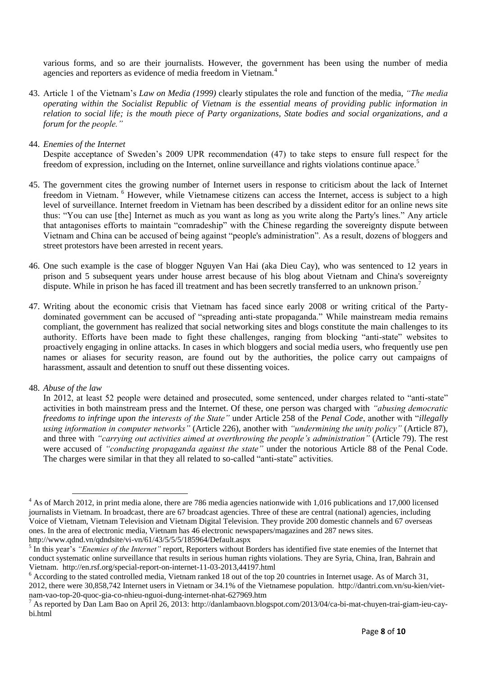various forms, and so are their journalists. However, the government has been using the number of media agencies and reporters as evidence of media freedom in Vietnam.<sup>4</sup>

- 43. Article 1 of the Vietnam's *Law on Media (1999)* clearly stipulates the role and function of the media, *"The media operating within the Socialist Republic of Vietnam is the essential means of providing public information in relation to social life; is the mouth piece of Party organizations, State bodies and social organizations, and a forum for the people."*
- 44. *Enemies of the Internet*

Despite acceptance of Sweden's 2009 UPR recommendation (47) to take steps to ensure full respect for the freedom of expression, including on the Internet, online surveillance and rights violations continue apace.<sup>5</sup>

- 45. The government cites the growing number of Internet users in response to criticism about the lack of Internet freedom in Vietnam. <sup>6</sup> However, while Vietnamese citizens can access the Internet, access is subject to a high level of surveillance. Internet freedom in Vietnam has been described by a dissident editor for an online news site thus: "You can use [the] Internet as much as you want as long as you write along the Party's lines." Any article that antagonises efforts to maintain "comradeship" with the Chinese regarding the sovereignty dispute between Vietnam and China can be accused of being against "people's administration". As a result, dozens of bloggers and street protestors have been arrested in recent years.
- 46. One such example is the case of blogger Nguyen Van Hai (aka Dieu Cay), who was sentenced to 12 years in prison and 5 subsequent years under house arrest because of his blog about Vietnam and China's sovereignty dispute. While in prison he has faced ill treatment and has been secretly transferred to an unknown prison.<sup>7</sup>
- 47. Writing about the economic crisis that Vietnam has faced since early 2008 or writing critical of the Partydominated government can be accused of "spreading anti-state propaganda." While mainstream media remains compliant, the government has realized that social networking sites and blogs constitute the main challenges to its authority. Efforts have been made to fight these challenges, ranging from blocking "anti-state" websites to proactively engaging in online attacks. In cases in which bloggers and social media users, who frequently use pen names or aliases for security reason, are found out by the authorities, the police carry out campaigns of harassment, assault and detention to snuff out these dissenting voices.
- 48. *Abuse of the law*

1

In 2012, at least 52 people were detained and prosecuted, some sentenced, under charges related to "anti-state" activities in both mainstream press and the Internet. Of these, one person was charged with *"abusing democratic freedoms to infringe upon the interests of the State"* under Article 258 of the *Penal Code*, another with "*illegally using information in computer networks"* (Article 226), another with *"undermining the unity policy"* (Article 87), and three with *"carrying out activities aimed at overthrowing the people's administration"* (Article 79). The rest were accused of *"conducting propaganda against the state"* under the notorious Article 88 of the Penal Code. The charges were similar in that they all related to so-called "anti-state" activities.

<sup>&</sup>lt;sup>4</sup> As of March 2012, in print media alone, there are 786 media agencies nationwide with 1,016 publications and 17,000 licensed journalists in Vietnam. In broadcast, there are 67 broadcast agencies. Three of these are central (national) agencies, including Voice of Vietnam, Vietnam Television and Vietnam Digital Television. They provide 200 domestic channels and 67 overseas ones. In the area of electronic media, Vietnam has 46 electronic newspapers/magazines and 287 news sites. http://www.qdnd.vn/qdndsite/vi-vn/61/43/5/5/5/185964/Default.aspx

<sup>&</sup>lt;sup>5</sup> In this year's "Enemies of the Internet" report, Reporters without Borders has identified five state enemies of the Internet that conduct systematic online surveillance that results in serious human rights violations. They are Syria, China, Iran, Bahrain and Vietnam. http://en.rsf.org/special-report-on-internet-11-03-2013,44197.html

<sup>&</sup>lt;sup>6</sup> According to the stated controlled media, Vietnam ranked 18 out of the top 20 countries in Internet usage. As of March 31, 2012, there were 30,858,742 Internet users in Vietnam or 34.1% of the Vietnamese population. http://dantri.com.vn/su-kien/vietnam-vao-top-20-quoc-gia-co-nhieu-nguoi-dung-internet-nhat-627969.htm

<sup>&</sup>lt;sup>7</sup> As reported by Dan Lam Bao on April 26, 2013: http://danlambaovn.blogspot.com/2013/04/ca-bi-mat-chuyen-trai-giam-ieu-caybi.html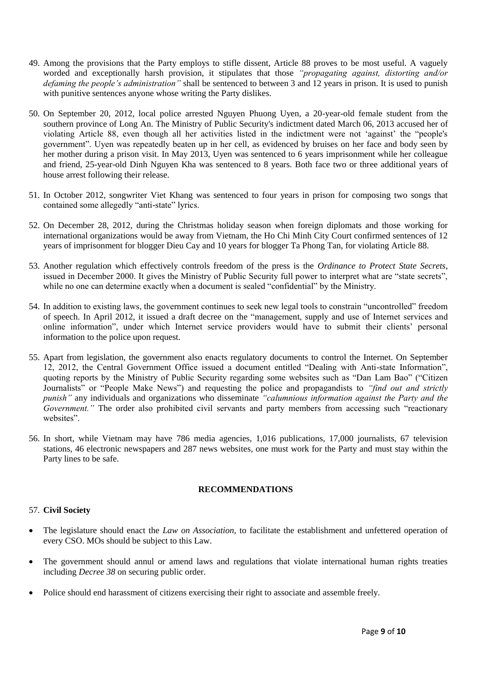- 49. Among the provisions that the Party employs to stifle dissent, Article 88 proves to be most useful. A vaguely worded and exceptionally harsh provision, it stipulates that those *"propagating against, distorting and/or defaming the people's administration"* shall be sentenced to between 3 and 12 years in prison. It is used to punish with punitive sentences anyone whose writing the Party dislikes.
- 50. On September 20, 2012, local police arrested Nguyen Phuong Uyen, a 20-year-old female student from the southern province of Long An. The Ministry of Public Security's indictment dated March 06, 2013 accused her of violating Article 88, even though all her activities listed in the indictment were not 'against' the "people's government". Uyen was repeatedly beaten up in her cell, as evidenced by bruises on her face and body seen by her mother during a prison visit. In May 2013, Uyen was sentenced to 6 years imprisonment while her colleague and friend, 25-year-old Dinh Nguyen Kha was sentenced to 8 years. Both face two or three additional years of house arrest following their release.
- 51. In October 2012, songwriter Viet Khang was sentenced to four years in prison for composing two songs that contained some allegedly "anti-state" lyrics.
- 52. On December 28, 2012, during the Christmas holiday season when foreign diplomats and those working for international organizations would be away from Vietnam, the Ho Chi Minh City Court confirmed sentences of 12 years of imprisonment for blogger Dieu Cay and 10 years for blogger Ta Phong Tan, for violating Article 88.
- 53. Another regulation which effectively controls freedom of the press is the *Ordinance to Protect State Secrets*, issued in December 2000. It gives the Ministry of Public Security full power to interpret what are "state secrets", while no one can determine exactly when a document is sealed "confidential" by the Ministry.
- 54. In addition to existing laws, the government continues to seek new legal tools to constrain "uncontrolled" freedom of speech. In April 2012, it issued a draft decree on the "management, supply and use of Internet services and online information", under which Internet service providers would have to submit their clients' personal information to the police upon request.
- 55. Apart from legislation, the government also enacts regulatory documents to control the Internet. On September 12, 2012, the Central Government Office issued a document entitled "Dealing with Anti-state Information", quoting reports by the Ministry of Public Security regarding some websites such as "Dan Lam Bao" ("Citizen Journalists" or "People Make News") and requesting the police and propagandists to *"find out and strictly punish"* any individuals and organizations who disseminate *"calumnious information against the Party and the Government.*" The order also prohibited civil servants and party members from accessing such "reactionary websites".
- 56. In short, while Vietnam may have 786 media agencies, 1,016 publications, 17,000 journalists, 67 television stations, 46 electronic newspapers and 287 news websites, one must work for the Party and must stay within the Party lines to be safe.

## **RECOMMENDATIONS**

## 57. **Civil Society**

- The legislature should enact the *Law on Association*, to facilitate the establishment and unfettered operation of every CSO. MOs should be subject to this Law.
- The government should annul or amend laws and regulations that violate international human rights treaties including *Decree 38* on securing public order.
- Police should end harassment of citizens exercising their right to associate and assemble freely.